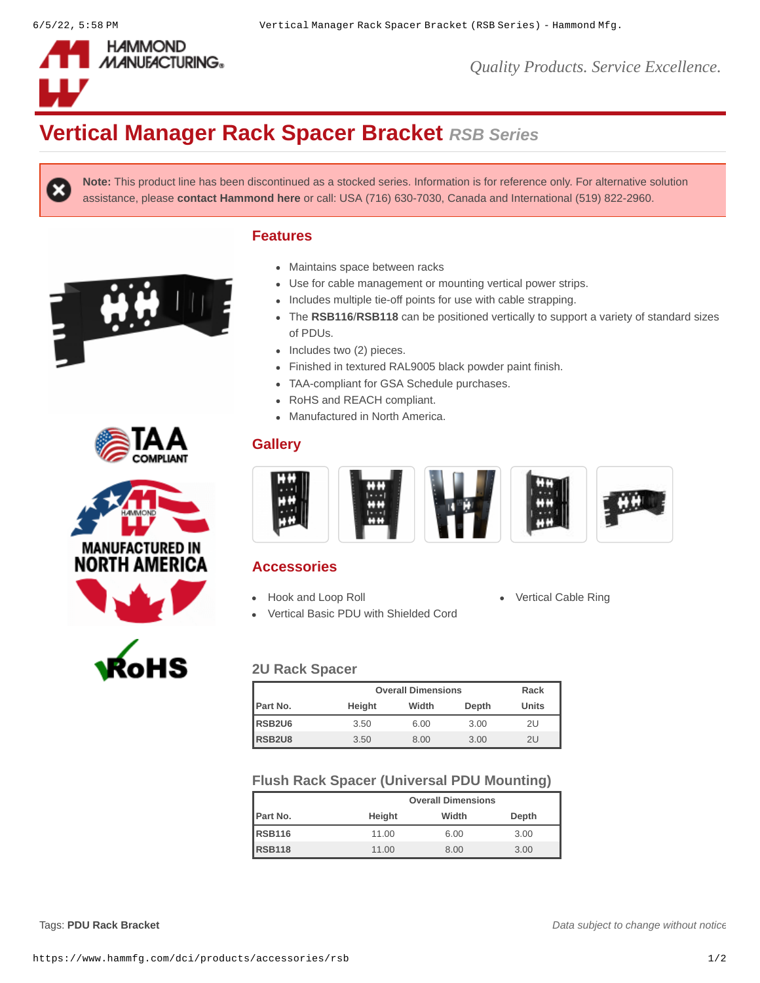

*Quality Products. Service Excellence.*

# **Vertical Manager Rack Spacer Bracket** *RSB Series*

**Features**

**Note:** This product line has been discontinued as a stocked series. Information is for reference only. For alternative solution assistance, please **[contact Hammond here](https://www.hammfg.com/contact?referer=dci&message=RSB%20Series%20Alternative)** or call: USA (716) 630-7030, Canada and International (519) 822-2960.

Maintains space between racks











of PDUs.

 $\bullet$  Includes two (2) pieces.

• RoHS and REACH compliant. • Manufactured in North America.



Use for cable management or mounting vertical power strips. • Includes multiple tie-off points for use with cable strapping.

Finished in textured RAL9005 black powder paint finish.

TAA-compliant for GSA Schedule purchases.

The **[RSB116](https://www.hammfg.com/part/RSB116)**/**[RSB118](https://www.hammfg.com/part/RSB118)** can be positioned vertically to support a variety of standard sizes

## **Accessories**

**Gallery**

- [Hook and Loop Roll](https://www.hammfg.com/dci/products/accessories/ts?referer=945&itm_type=accessory) **[Vertical Cable Ring](https://www.hammfg.com/dci/products/accessories/cmrc?referer=945&itm_type=accessory)**
- [Vertical Basic PDU with Shielded Cord](https://www.hammfg.com/electronics/outlet-strips/rack-mount/1588-9-jv?referer=945&itm_type=accessory)
- 

## **2U Rack Spacer**

|                    | <b>Overall Dimensions</b> |       |       | Rack         |
|--------------------|---------------------------|-------|-------|--------------|
| Part No.           | Height                    | Width | Depth | <b>Units</b> |
| RSB <sub>2U6</sub> | 3.50                      | 6.00  | 3.00  | 2U           |
| RSB <sub>2U8</sub> | 3.50                      | 8.00  | 3.00  | 2U           |

### **Flush Rack Spacer (Universal PDU Mounting)**

|               |        | <b>Overall Dimensions</b> |       |  |  |
|---------------|--------|---------------------------|-------|--|--|
| Part No.      | Height | Width                     | Depth |  |  |
| <b>RSB116</b> | 11.00  | 6.00                      | 3.00  |  |  |
| <b>RSB118</b> | 11.00  | 8.00                      | 3.00  |  |  |

Tags: **PDU Rack [Bracket](https://www.hammfg.com/search?q=PDU%20Rack%20Bracket)**